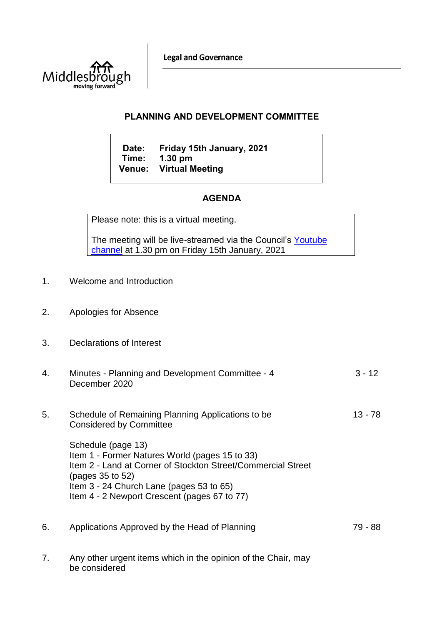**Legal and Governance** 



## **PLANNING AND DEVELOPMENT COMMITTEE**

**Date: Friday 15th January, 2021 Time: 1.30 pm Venue: Virtual Meeting**

## **AGENDA**

Please note: this is a virtual meeting.

The meeting will be live-streamed via the Council's Youtube [channel](https://www.youtube.com/user/middlesboroughcouncil) at 1.30 pm on Friday 15th January, 2021

- 1. Welcome and Introduction
- 2. Apologies for Absence
- 3. Declarations of Interest
- 4. Minutes Planning and Development Committee 4 December 2020 3 - 12
- 5. Schedule of Remaining Planning Applications to be Considered by Committee 13 - 78

Schedule (page 13) Item 1 - Former Natures World (pages 15 to 33) Item 2 - Land at Corner of Stockton Street/Commercial Street (pages 35 to 52) Item 3 - 24 Church Lane (pages 53 to 65) Item 4 - 2 Newport Crescent (pages 67 to 77)

- 6. Applications Approved by the Head of Planning 79 88
- 7. Any other urgent items which in the opinion of the Chair, may be considered